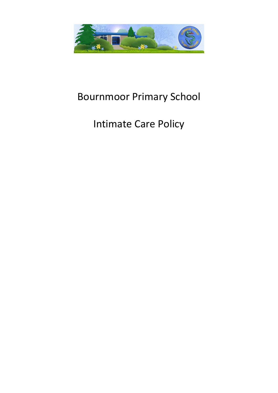

## Bournmoor Primary School

# Intimate Care Policy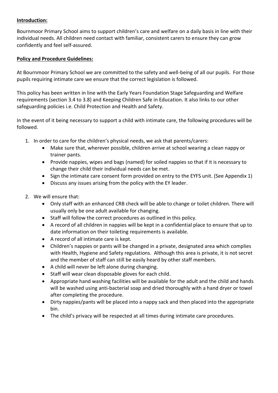#### **Introduction:**

Bournmoor Primary School aims to support children's care and welfare on a daily basis in line with their individual needs. All children need contact with familiar, consistent carers to ensure they can grow confidently and feel self-assured.

#### **Policy and Procedure Guidelines:**

At Bournmoor Primary School we are committed to the safety and well-being of all our pupils. For those pupils requiring intimate care we ensure that the correct legislation is followed.

This policy has been written in line with the Early Years Foundation Stage Safeguarding and Welfare requirements (section 3.4 to 3.8) and Keeping Children Safe in Education. It also links to our other safeguarding policies i.e. Child Protection and Health and Safety.

In the event of it being necessary to support a child with intimate care, the following procedures will be followed.

- 1. In order to care for the children's physical needs, we ask that parents/carers:
	- Make sure that, wherever possible, children arrive at school wearing a clean nappy or trainer pants.
	- Provide nappies, wipes and bags (named) for soiled nappies so that if it is necessary to change their child their individual needs can be met.
	- Sign the intimate care consent form provided on entry to the EYFS unit. (See Appendix 1)
	- Discuss any issues arising from the policy with the EY leader.
- 2. We will ensure that:
	- Only staff with an enhanced CRB check will be able to change or toilet children. There will usually only be one adult available for changing.
	- Staff will follow the correct procedures as outlined in this policy.
	- A record of all children in nappies will be kept in a confidential place to ensure that up to date information on their toileting requirements is available.
	- A record of all intimate care is kept.
	- Children's nappies or pants will be changed in a private, designated area which complies with Health, Hygiene and Safety regulations. Although this area is private, it is not secret and the member of staff can still be easily heard by other staff members.
	- A child will never be left alone during changing.
	- Staff will wear clean disposable gloves for each child.
	- Appropriate hand washing facilities will be available for the adult and the child and hands will be washed using anti-bacterial soap and dried thoroughly with a hand dryer or towel after completing the procedure.
	- Dirty nappies/pants will be placed into a nappy sack and then placed into the appropriate bin.
	- The child's privacy will be respected at all times during intimate care procedures.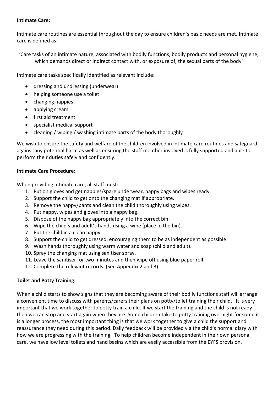#### **Intimate Care:**

Intimate care routines are essential throughout the day to ensure children's basic needs are met. Intimate care is defined as:

'Care tasks of an intimate nature, associated with bodily functions, bodily products and personal hygiene, which demands direct or indirect contact with, or exposure of, the sexual parts of the body'

Intimate care tasks specifically identified as relevant include:

- dressing and undressing (underwear)
- helping someone use a toilet
- changing nappies
- applying cream
- first aid treatment
- specialist medical support
- cleaning / wiping / washing intimate parts of the body thoroughly

We wish to ensure the safety and welfare of the children involved in intimate care routines and safeguard against any potential harm as well as ensuring the staff member involved is fully supported and able to perform their duties safely and confidently.

#### **Intimate Care Procedure:**

When providing intimate care, all staff must:

- 1. Put on gloves and get nappies/spare underwear, nappy bags and wipes ready.
- 2. Support the child to get onto the changing mat if appropriate.
- 3. Remove the nappy/pants and clean the child thoroughly using wipes.
- 4. Put nappy, wipes and gloves into a nappy bag.
- 5. Dispose of the nappy bag appropriately into the correct bin.
- 6. Wipe the child's and adult's hands using a wipe (place in the bin).
- 7. Put the child in a clean nappy.
- 8. Support the child to get dressed, encouraging them to be as independent as possible.
- 9. Wash hands thoroughly using warm water and soap (child and adult).
- 10. Spray the changing mat using sanitiser spray.
- 11. Leave the sanitiser for two minutes and then wipe off using blue paper roll.
- 12. Complete the relevant records. (See Appendix 2 and 3)

#### **Toilet and Potty Training:**

When a child starts to show signs that they are becoming aware of their bodily functions staff will arrange a convenient time to discuss with parents/carers their plans on potty/toilet training their child. It is very important that we work together to potty train a child. If we start the training and the child is not ready then we can stop and start again when they are. Some children take to potty training overnight for some it is a longer process, the most important thing is that we work together to give a child the support and reassurance they need during this period. Daily feedback will be provided via the child's normal diary with how we are progressing with the training. To help children become independent in their own personal care, we have low level toilets and hand basins which are easily accessible from the EYFS provision.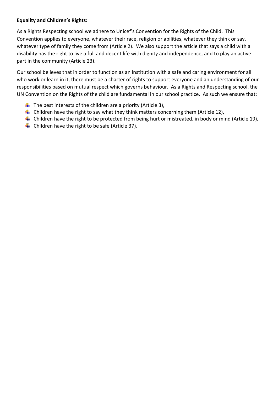#### **Equality and Children's Rights:**

As a Rights Respecting school we adhere to Unicef's Convention for the Rights of the Child. This Convention applies to everyone, whatever their race, religion or abilities, whatever they think or say, whatever type of family they come from (Article 2). We also support the article that says a child with a disability has the right to live a full and decent life with dignity and independence, and to play an active part in the community (Article 23).

Our school believes that in order to function as an institution with a safe and caring environment for all who work or learn in it, there must be a charter of rights to support everyone and an understanding of our responsibilities based on mutual respect which governs behaviour. As a Rights and Respecting school, the UN Convention on the Rights of the child are fundamental in our school practice. As such we ensure that:

- $\downarrow$  The best interests of the children are a priority (Article 3),
- $\downarrow$  Children have the right to say what they think matters concerning them (Article 12),
- $\ddot$  Children have the right to be protected from being hurt or mistreated, in body or mind (Article 19),
- $\overline{\phantom{a}}$  Children have the right to be safe (Article 37).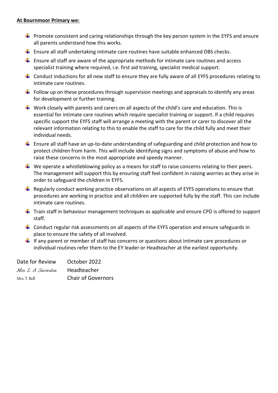#### **At Bournmoor Primary we:**

- $\downarrow$  Promote consistent and caring relationships through the key person system in the EYFS and ensure all parents understand how this works.
- $\ddot{+}$  Ensure all staff undertaking intimate care routines have suitable enhanced DBS checks.
- $\ddot{\phantom{1}}$  Ensure all staff are aware of the appropriate methods for intimate care routines and access specialist training where required, i.e. first aid training, specialist medical support.
- $\downarrow$  Conduct inductions for all new staff to ensure they are fully aware of all EYFS procedures relating to intimate care routines.
- $\downarrow$  Follow up on these procedures through supervision meetings and appraisals to identify any areas for development or further training.
- $\downarrow$  Work closely with parents and carers on all aspects of the child's care and education. This is essential for intimate care routines which require specialist training or support. If a child requires specific support the EYFS staff will arrange a meeting with the parent or carer to discover all the relevant information relating to this to enable the staff to care for the child fully and meet their individual needs.
- $\ddot{+}$  Ensure all staff have an up-to-date understanding of safeguarding and child protection and how to protect children from harm. This will include identifying signs and symptoms of abuse and how to raise these concerns in the most appropriate and speedy manner.
- $\downarrow$  We operate a whistleblowing policy as a means for staff to raise concerns relating to their peers. The management will support this by ensuring staff feel confident in raising worries as they arise in order to safeguard the children in EYFS.
- $\ddot{+}$  Regularly conduct working practice observations on all aspects of EYFS operations to ensure that procedures are working in practice and all children are supported fully by the staff. This can include intimate care routines.
- $\downarrow$  Train staff in behaviour management techniques as applicable and ensure CPD is offered to support staff.
- $\downarrow$  Conduct regular risk assessments on all aspects of the EYFS operation and ensure safeguards in place to ensure the safety of all involved.
- $\downarrow$  If any parent or member of staff has concerns or questions about intimate care procedures or individual routines refer them to the EY leader or Headteacher at the earliest opportunity.

| Date for Review | October 2022              |
|-----------------|---------------------------|
| Mrs L A Snowdon | Headteacher               |
| Mrs T Bell      | <b>Chair of Governors</b> |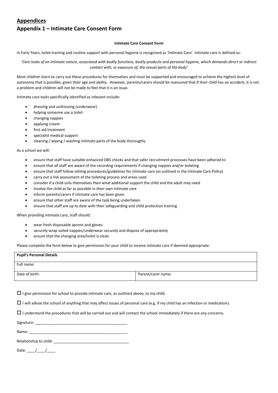#### **Appendices**

#### **Appendix 1 – Intimate Care Consent Form**

#### **Intimate Care Consent Form**

In Early Years, toilet training and routine support with personal hygiene is recognised as 'Intimate Care'. Intimate care is defined as:

*'Care tasks of an intimate nature, associated with bodily functions, bodily products and personal hygiene, which demands direct or indirect contact with, or exposure of, the sexual parts of the body'*

Most children learn to carry out these procedures for themselves and must be supported and encouraged to achieve the highest level of autonomy that is possible, given their age and ability. However, parents/carers should be reassured that if their child has an accident, it is not a problem and children will not be made to feel that it is an issue.

Intimate care tasks specifically identified as relevant include:

- dressing and undressing (underwear)
- helping someone use a toilet
- changing nappies
- applying cream
- first aid treatment
- specialist medical support
- cleaning / wiping / washing intimate parts of the body thoroughly

As a school we will:

- ensure that staff have suitable enhanced DBS checks and that safer recruitment processes have been adhered to
- ensure that all staff are aware of the recording requirements if changing nappies and/or toileting
- ensure that staff follow setting procedures/guidelines for intimate care (as outlined in the Intimate Care Policy)
- carry out a risk assessment of the toileting process and areas used
- consider if a child soils themselves then what additional support the child and the adult may need
- involve the child as far as possible in their own intimate care
- inform parents/carers if intimate care has been given
- ensure that other staff are aware of the task being undertaken
- ensure that staff are up to date with their safeguarding and child protection training

When providing intimate care, staff should:

- wear fresh disposable aprons and gloves
- securely wrap soiled nappies/underwear securely and dispose of appropriately
- ensure that the changing area/toilet is clean

Please complete the form below to give permission for your child to receive intimate care if deemed appropriate.

| <b>Pupil's Personal Details</b> |                    |
|---------------------------------|--------------------|
| Full name:                      |                    |
| Date of birth:                  | Parent/carer name: |

 $\Box$  I give permission for school to provide intimate care, as outlined above, to my child.

 $\Box$  I will advise the school of anything that may affect issues of personal care (e.g. if my child has an infection or medication).

 $\Box$  I understand the procedures that will be carried out and will contact the school immediately if there are any concerns.

Signature:

Name: \_\_\_\_\_\_\_\_\_\_\_\_\_\_\_\_\_\_\_\_\_\_\_\_\_\_\_\_\_\_\_\_\_\_\_\_\_\_\_\_\_\_\_\_\_\_\_

Relationship to child:

Date:  $/$  /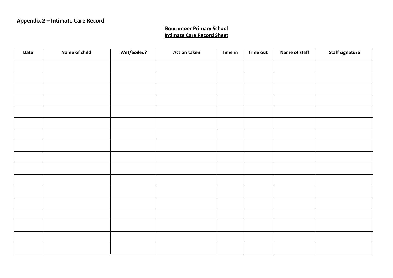### **Bournmoor Primary School Intimate Care Record Sheet**

| Date | <b>Name of child</b> | <b>Wet/Soiled?</b> | <b>Action taken</b> | Time in | Time out | Name of staff | <b>Staff signature</b> |
|------|----------------------|--------------------|---------------------|---------|----------|---------------|------------------------|
|      |                      |                    |                     |         |          |               |                        |
|      |                      |                    |                     |         |          |               |                        |
|      |                      |                    |                     |         |          |               |                        |
|      |                      |                    |                     |         |          |               |                        |
|      |                      |                    |                     |         |          |               |                        |
|      |                      |                    |                     |         |          |               |                        |
|      |                      |                    |                     |         |          |               |                        |
|      |                      |                    |                     |         |          |               |                        |
|      |                      |                    |                     |         |          |               |                        |
|      |                      |                    |                     |         |          |               |                        |
|      |                      |                    |                     |         |          |               |                        |
|      |                      |                    |                     |         |          |               |                        |
|      |                      |                    |                     |         |          |               |                        |
|      |                      |                    |                     |         |          |               |                        |
|      |                      |                    |                     |         |          |               |                        |
|      |                      |                    |                     |         |          |               |                        |
|      |                      |                    |                     |         |          |               |                        |